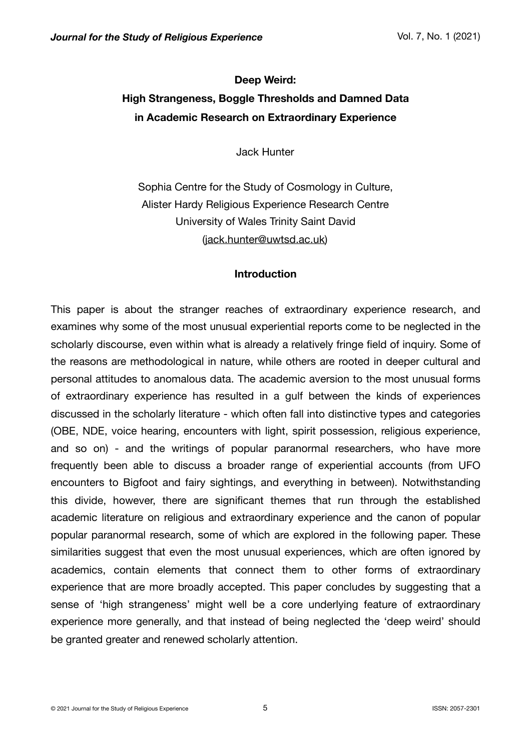# **Deep Weird: High Strangeness, Boggle Thresholds and Damned Data in Academic Research on Extraordinary Experience**

Jack Hunter

Sophia Centre for the Study of Cosmology in Culture, Alister Hardy Religious Experience Research Centre University of Wales Trinity Saint David ([jack.hunter@uwtsd.ac.uk\)](mailto:jack.hunter@uwtsd.ac.uk)

## **Introduction**

This paper is about the stranger reaches of extraordinary experience research, and examines why some of the most unusual experiential reports come to be neglected in the scholarly discourse, even within what is already a relatively fringe field of inquiry. Some of the reasons are methodological in nature, while others are rooted in deeper cultural and personal attitudes to anomalous data. The academic aversion to the most unusual forms of extraordinary experience has resulted in a gulf between the kinds of experiences discussed in the scholarly literature - which often fall into distinctive types and categories (OBE, NDE, voice hearing, encounters with light, spirit possession, religious experience, and so on) - and the writings of popular paranormal researchers, who have more frequently been able to discuss a broader range of experiential accounts (from UFO encounters to Bigfoot and fairy sightings, and everything in between). Notwithstanding this divide, however, there are significant themes that run through the established academic literature on religious and extraordinary experience and the canon of popular popular paranormal research, some of which are explored in the following paper. These similarities suggest that even the most unusual experiences, which are often ignored by academics, contain elements that connect them to other forms of extraordinary experience that are more broadly accepted. This paper concludes by suggesting that a sense of 'high strangeness' might well be a core underlying feature of extraordinary experience more generally, and that instead of being neglected the 'deep weird' should be granted greater and renewed scholarly attention.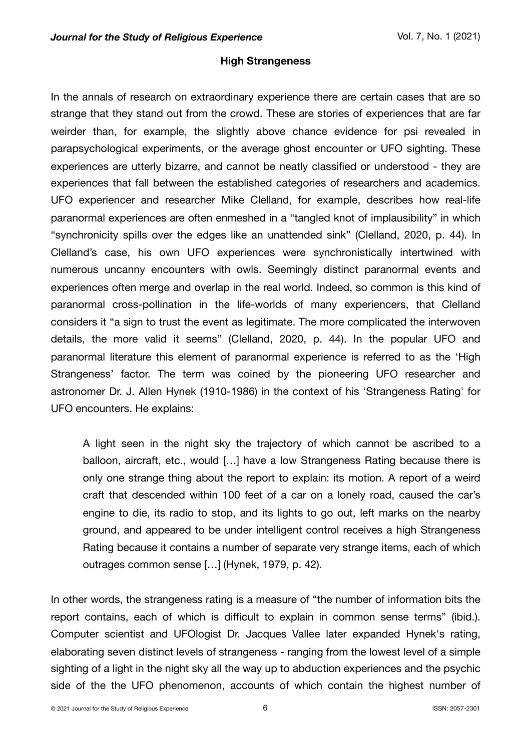# **High Strangeness**

In the annals of research on extraordinary experience there are certain cases that are so strange that they stand out from the crowd. These are stories of experiences that are far weirder than, for example, the slightly above chance evidence for psi revealed in parapsychological experiments, or the average ghost encounter or UFO sighting. These experiences are utterly bizarre, and cannot be neatly classified or understood - they are experiences that fall between the established categories of researchers and academics. UFO experiencer and researcher Mike Clelland, for example, describes how real-life paranormal experiences are often enmeshed in a "tangled knot of implausibility" in which "synchronicity spills over the edges like an unattended sink" (Clelland, 2020, p. 44). In Clelland's case, his own UFO experiences were synchronistically intertwined with numerous uncanny encounters with owls. Seemingly distinct paranormal events and experiences often merge and overlap in the real world. Indeed, so common is this kind of paranormal cross-pollination in the life-worlds of many experiencers, that Clelland considers it "a sign to trust the event as legitimate. The more complicated the interwoven details, the more valid it seems" (Clelland, 2020, p. 44). In the popular UFO and paranormal literature this element of paranormal experience is referred to as the 'High Strangeness' factor. The term was coined by the pioneering UFO researcher and astronomer Dr. J. Allen Hynek (1910-1986) in the context of his 'Strangeness Rating' for UFO encounters. He explains:

A light seen in the night sky the trajectory of which cannot be ascribed to a balloon, aircraft, etc., would […] have a low Strangeness Rating because there is only one strange thing about the report to explain: its motion. A report of a weird craft that descended within 100 feet of a car on a lonely road, caused the car's engine to die, its radio to stop, and its lights to go out, left marks on the nearby ground, and appeared to be under intelligent control receives a high Strangeness Rating because it contains a number of separate very strange items, each of which outrages common sense […] (Hynek, 1979, p. 42).

In other words, the strangeness rating is a measure of "the number of information bits the report contains, each of which is difficult to explain in common sense terms" (ibid.). Computer scientist and UFOlogist Dr. Jacques Vallee later expanded Hynek's rating, elaborating seven distinct levels of strangeness - ranging from the lowest level of a simple sighting of a light in the night sky all the way up to abduction experiences and the psychic side of the the UFO phenomenon, accounts of which contain the highest number of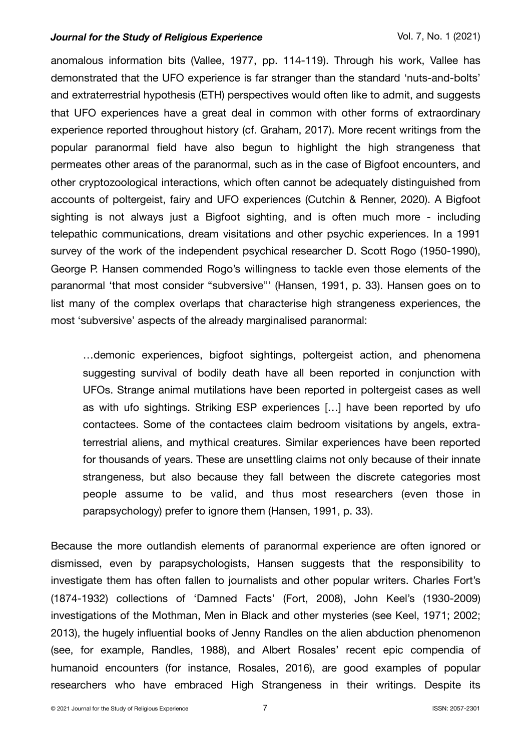anomalous information bits (Vallee, 1977, pp. 114-119). Through his work, Vallee has demonstrated that the UFO experience is far stranger than the standard 'nuts-and-bolts' and extraterrestrial hypothesis (ETH) perspectives would often like to admit, and suggests that UFO experiences have a great deal in common with other forms of extraordinary experience reported throughout history (cf. Graham, 2017). More recent writings from the popular paranormal field have also begun to highlight the high strangeness that permeates other areas of the paranormal, such as in the case of Bigfoot encounters, and other cryptozoological interactions, which often cannot be adequately distinguished from accounts of poltergeist, fairy and UFO experiences (Cutchin & Renner, 2020). A Bigfoot sighting is not always just a Bigfoot sighting, and is often much more - including telepathic communications, dream visitations and other psychic experiences. In a 1991 survey of the work of the independent psychical researcher D. Scott Rogo (1950-1990), George P. Hansen commended Rogo's willingness to tackle even those elements of the paranormal 'that most consider "subversive"' (Hansen, 1991, p. 33). Hansen goes on to list many of the complex overlaps that characterise high strangeness experiences, the most 'subversive' aspects of the already marginalised paranormal:

…demonic experiences, bigfoot sightings, poltergeist action, and phenomena suggesting survival of bodily death have all been reported in conjunction with UFOs. Strange animal mutilations have been reported in poltergeist cases as well as with ufo sightings. Striking ESP experiences […] have been reported by ufo contactees. Some of the contactees claim bedroom visitations by angels, extraterrestrial aliens, and mythical creatures. Similar experiences have been reported for thousands of years. These are unsettling claims not only because of their innate strangeness, but also because they fall between the discrete categories most people assume to be valid, and thus most researchers (even those in parapsychology) prefer to ignore them (Hansen, 1991, p. 33).

Because the more outlandish elements of paranormal experience are often ignored or dismissed, even by parapsychologists, Hansen suggests that the responsibility to investigate them has often fallen to journalists and other popular writers. Charles Fort's (1874-1932) collections of 'Damned Facts' (Fort, 2008), John Keel's (1930-2009) investigations of the Mothman, Men in Black and other mysteries (see Keel, 1971; 2002; 2013), the hugely influential books of Jenny Randles on the alien abduction phenomenon (see, for example, Randles, 1988), and Albert Rosales' recent epic compendia of humanoid encounters (for instance, Rosales, 2016), are good examples of popular researchers who have embraced High Strangeness in their writings. Despite its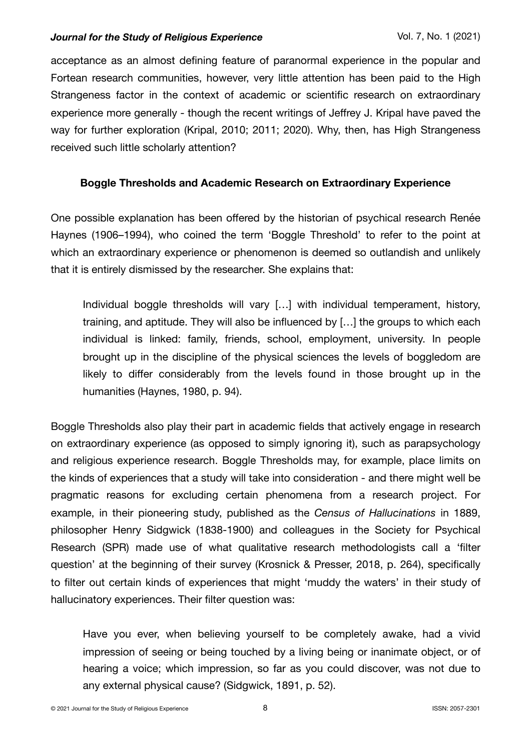acceptance as an almost defining feature of paranormal experience in the popular and Fortean research communities, however, very little attention has been paid to the High Strangeness factor in the context of academic or scientific research on extraordinary experience more generally - though the recent writings of Jeffrey J. Kripal have paved the way for further exploration (Kripal, 2010; 2011; 2020). Why, then, has High Strangeness received such little scholarly attention?

# **Boggle Thresholds and Academic Research on Extraordinary Experience**

One possible explanation has been offered by the historian of psychical research Renée Haynes (1906–1994), who coined the term 'Boggle Threshold' to refer to the point at which an extraordinary experience or phenomenon is deemed so outlandish and unlikely that it is entirely dismissed by the researcher. She explains that:

Individual boggle thresholds will vary […] with individual temperament, history, training, and aptitude. They will also be influenced by […] the groups to which each individual is linked: family, friends, school, employment, university. In people brought up in the discipline of the physical sciences the levels of boggledom are likely to differ considerably from the levels found in those brought up in the humanities (Haynes, 1980, p. 94).

Boggle Thresholds also play their part in academic fields that actively engage in research on extraordinary experience (as opposed to simply ignoring it), such as parapsychology and religious experience research. Boggle Thresholds may, for example, place limits on the kinds of experiences that a study will take into consideration - and there might well be pragmatic reasons for excluding certain phenomena from a research project. For example, in their pioneering study, published as the *Census of Hallucinations* in 1889, philosopher Henry Sidgwick (1838-1900) and colleagues in the Society for Psychical Research (SPR) made use of what qualitative research methodologists call a 'filter question' at the beginning of their survey (Krosnick & Presser, 2018, p. 264), specifically to filter out certain kinds of experiences that might 'muddy the waters' in their study of hallucinatory experiences. Their filter question was:

Have you ever, when believing yourself to be completely awake, had a vivid impression of seeing or being touched by a living being or inanimate object, or of hearing a voice; which impression, so far as you could discover, was not due to any external physical cause? (Sidgwick, 1891, p. 52).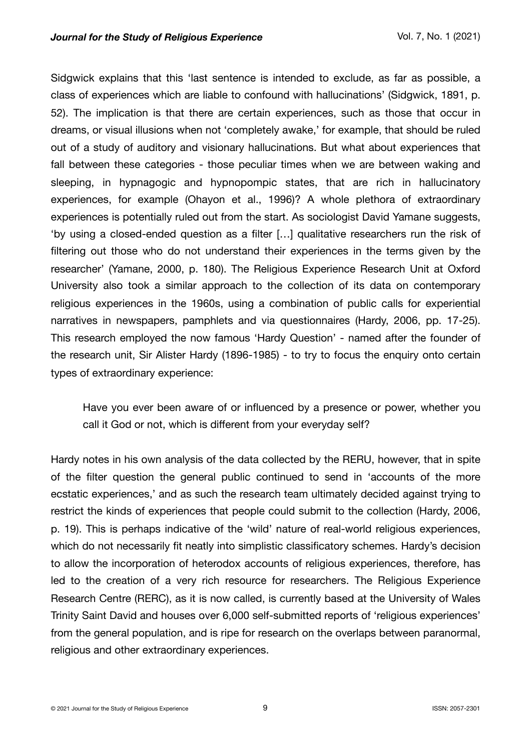Sidgwick explains that this 'last sentence is intended to exclude, as far as possible, a class of experiences which are liable to confound with hallucinations' (Sidgwick, 1891, p. 52). The implication is that there are certain experiences, such as those that occur in dreams, or visual illusions when not 'completely awake,' for example, that should be ruled out of a study of auditory and visionary hallucinations. But what about experiences that fall between these categories - those peculiar times when we are between waking and sleeping, in hypnagogic and hypnopompic states, that are rich in hallucinatory experiences, for example (Ohayon et al., 1996)? A whole plethora of extraordinary experiences is potentially ruled out from the start. As sociologist David Yamane suggests, 'by using a closed-ended question as a filter […] qualitative researchers run the risk of filtering out those who do not understand their experiences in the terms given by the researcher' (Yamane, 2000, p. 180). The Religious Experience Research Unit at Oxford University also took a similar approach to the collection of its data on contemporary religious experiences in the 1960s, using a combination of public calls for experiential narratives in newspapers, pamphlets and via questionnaires (Hardy, 2006, pp. 17-25). This research employed the now famous 'Hardy Question' - named after the founder of the research unit, Sir Alister Hardy (1896-1985) - to try to focus the enquiry onto certain types of extraordinary experience:

Have you ever been aware of or influenced by a presence or power, whether you call it God or not, which is different from your everyday self?

Hardy notes in his own analysis of the data collected by the RERU, however, that in spite of the filter question the general public continued to send in 'accounts of the more ecstatic experiences,' and as such the research team ultimately decided against trying to restrict the kinds of experiences that people could submit to the collection (Hardy, 2006, p. 19). This is perhaps indicative of the 'wild' nature of real-world religious experiences, which do not necessarily fit neatly into simplistic classificatory schemes. Hardy's decision to allow the incorporation of heterodox accounts of religious experiences, therefore, has led to the creation of a very rich resource for researchers. The Religious Experience Research Centre (RERC), as it is now called, is currently based at the University of Wales Trinity Saint David and houses over 6,000 self-submitted reports of 'religious experiences' from the general population, and is ripe for research on the overlaps between paranormal, religious and other extraordinary experiences.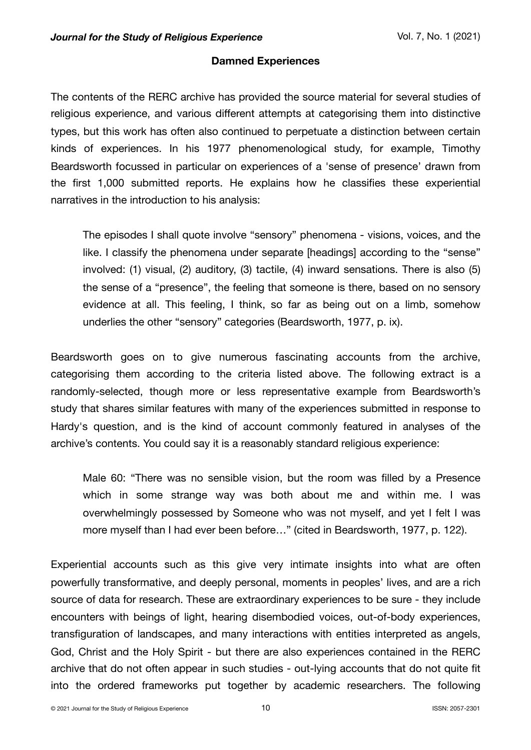# **Damned Experiences**

The contents of the RERC archive has provided the source material for several studies of religious experience, and various different attempts at categorising them into distinctive types, but this work has often also continued to perpetuate a distinction between certain kinds of experiences. In his 1977 phenomenological study, for example, Timothy Beardsworth focussed in particular on experiences of a 'sense of presence' drawn from the first 1,000 submitted reports. He explains how he classifies these experiential narratives in the introduction to his analysis:

The episodes I shall quote involve "sensory" phenomena - visions, voices, and the like. I classify the phenomena under separate [headings] according to the "sense" involved: (1) visual, (2) auditory, (3) tactile, (4) inward sensations. There is also (5) the sense of a "presence", the feeling that someone is there, based on no sensory evidence at all. This feeling, I think, so far as being out on a limb, somehow underlies the other "sensory" categories (Beardsworth, 1977, p. ix).

Beardsworth goes on to give numerous fascinating accounts from the archive, categorising them according to the criteria listed above. The following extract is a randomly-selected, though more or less representative example from Beardsworth's study that shares similar features with many of the experiences submitted in response to Hardy's question, and is the kind of account commonly featured in analyses of the archive's contents. You could say it is a reasonably standard religious experience:

Male 60: "There was no sensible vision, but the room was filled by a Presence which in some strange way was both about me and within me. I was overwhelmingly possessed by Someone who was not myself, and yet I felt I was more myself than I had ever been before…" (cited in Beardsworth, 1977, p. 122).

Experiential accounts such as this give very intimate insights into what are often powerfully transformative, and deeply personal, moments in peoples' lives, and are a rich source of data for research. These are extraordinary experiences to be sure - they include encounters with beings of light, hearing disembodied voices, out-of-body experiences, transfiguration of landscapes, and many interactions with entities interpreted as angels, God, Christ and the Holy Spirit - but there are also experiences contained in the RERC archive that do not often appear in such studies - out-lying accounts that do not quite fit into the ordered frameworks put together by academic researchers. The following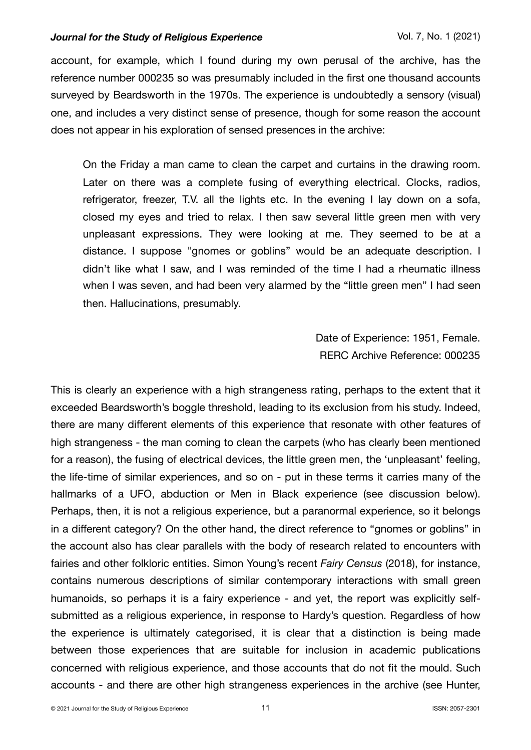account, for example, which I found during my own perusal of the archive, has the reference number 000235 so was presumably included in the first one thousand accounts surveyed by Beardsworth in the 1970s. The experience is undoubtedly a sensory (visual) one, and includes a very distinct sense of presence, though for some reason the account does not appear in his exploration of sensed presences in the archive:

On the Friday a man came to clean the carpet and curtains in the drawing room. Later on there was a complete fusing of everything electrical. Clocks, radios, refrigerator, freezer, T.V. all the lights etc. In the evening I lay down on a sofa, closed my eyes and tried to relax. I then saw several little green men with very unpleasant expressions. They were looking at me. They seemed to be at a distance. I suppose "gnomes or goblins" would be an adequate description. I didn't like what I saw, and I was reminded of the time I had a rheumatic illness when I was seven, and had been very alarmed by the "little green men" I had seen then. Hallucinations, presumably.

> Date of Experience: 1951, Female. RERC Archive Reference: 000235

This is clearly an experience with a high strangeness rating, perhaps to the extent that it exceeded Beardsworth's boggle threshold, leading to its exclusion from his study. Indeed, there are many different elements of this experience that resonate with other features of high strangeness - the man coming to clean the carpets (who has clearly been mentioned for a reason), the fusing of electrical devices, the little green men, the 'unpleasant' feeling, the life-time of similar experiences, and so on - put in these terms it carries many of the hallmarks of a UFO, abduction or Men in Black experience (see discussion below). Perhaps, then, it is not a religious experience, but a paranormal experience, so it belongs in a different category? On the other hand, the direct reference to "gnomes or goblins" in the account also has clear parallels with the body of research related to encounters with fairies and other folkloric entities. Simon Young's recent *Fairy Census* (2018), for instance, contains numerous descriptions of similar contemporary interactions with small green humanoids, so perhaps it is a fairy experience - and yet, the report was explicitly selfsubmitted as a religious experience, in response to Hardy's question. Regardless of how the experience is ultimately categorised, it is clear that a distinction is being made between those experiences that are suitable for inclusion in academic publications concerned with religious experience, and those accounts that do not fit the mould. Such accounts - and there are other high strangeness experiences in the archive (see Hunter,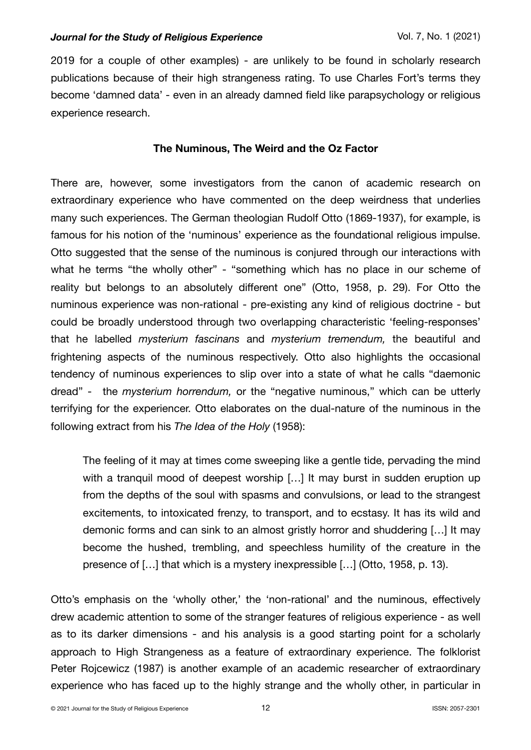2019 for a couple of other examples) - are unlikely to be found in scholarly research publications because of their high strangeness rating. To use Charles Fort's terms they become 'damned data' - even in an already damned field like parapsychology or religious experience research.

# **The Numinous, The Weird and the Oz Factor**

There are, however, some investigators from the canon of academic research on extraordinary experience who have commented on the deep weirdness that underlies many such experiences. The German theologian Rudolf Otto (1869-1937), for example, is famous for his notion of the 'numinous' experience as the foundational religious impulse. Otto suggested that the sense of the numinous is conjured through our interactions with what he terms "the wholly other" - "something which has no place in our scheme of reality but belongs to an absolutely different one" (Otto, 1958, p. 29). For Otto the numinous experience was non-rational - pre-existing any kind of religious doctrine - but could be broadly understood through two overlapping characteristic 'feeling-responses' that he labelled *mysterium fascinans* and *mysterium tremendum,* the beautiful and frightening aspects of the numinous respectively. Otto also highlights the occasional tendency of numinous experiences to slip over into a state of what he calls "daemonic dread" - the *mysterium horrendum,* or the "negative numinous," which can be utterly terrifying for the experiencer. Otto elaborates on the dual-nature of the numinous in the following extract from his *The Idea of the Holy* (1958):

The feeling of it may at times come sweeping like a gentle tide, pervading the mind with a tranquil mood of deepest worship [...] It may burst in sudden eruption up from the depths of the soul with spasms and convulsions, or lead to the strangest excitements, to intoxicated frenzy, to transport, and to ecstasy. It has its wild and demonic forms and can sink to an almost gristly horror and shuddering […] It may become the hushed, trembling, and speechless humility of the creature in the presence of […] that which is a mystery inexpressible […] (Otto, 1958, p. 13).

Otto's emphasis on the 'wholly other,' the 'non-rational' and the numinous, effectively drew academic attention to some of the stranger features of religious experience - as well as to its darker dimensions - and his analysis is a good starting point for a scholarly approach to High Strangeness as a feature of extraordinary experience. The folklorist Peter Rojcewicz (1987) is another example of an academic researcher of extraordinary experience who has faced up to the highly strange and the wholly other, in particular in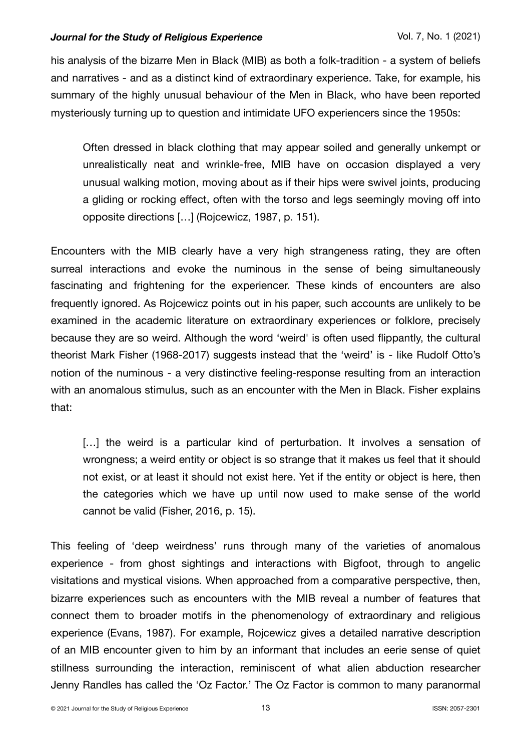his analysis of the bizarre Men in Black (MIB) as both a folk-tradition - a system of beliefs and narratives - and as a distinct kind of extraordinary experience. Take, for example, his summary of the highly unusual behaviour of the Men in Black, who have been reported mysteriously turning up to question and intimidate UFO experiencers since the 1950s:

Often dressed in black clothing that may appear soiled and generally unkempt or unrealistically neat and wrinkle-free, MIB have on occasion displayed a very unusual walking motion, moving about as if their hips were swivel joints, producing a gliding or rocking effect, often with the torso and legs seemingly moving off into opposite directions […] (Rojcewicz, 1987, p. 151).

Encounters with the MIB clearly have a very high strangeness rating, they are often surreal interactions and evoke the numinous in the sense of being simultaneously fascinating and frightening for the experiencer. These kinds of encounters are also frequently ignored. As Rojcewicz points out in his paper, such accounts are unlikely to be examined in the academic literature on extraordinary experiences or folklore, precisely because they are so weird. Although the word 'weird' is often used flippantly, the cultural theorist Mark Fisher (1968-2017) suggests instead that the 'weird' is - like Rudolf Otto's notion of the numinous - a very distinctive feeling-response resulting from an interaction with an anomalous stimulus, such as an encounter with the Men in Black. Fisher explains that:

[...] the weird is a particular kind of perturbation. It involves a sensation of wrongness; a weird entity or object is so strange that it makes us feel that it should not exist, or at least it should not exist here. Yet if the entity or object is here, then the categories which we have up until now used to make sense of the world cannot be valid (Fisher, 2016, p. 15).

This feeling of 'deep weirdness' runs through many of the varieties of anomalous experience - from ghost sightings and interactions with Bigfoot, through to angelic visitations and mystical visions. When approached from a comparative perspective, then, bizarre experiences such as encounters with the MIB reveal a number of features that connect them to broader motifs in the phenomenology of extraordinary and religious experience (Evans, 1987). For example, Rojcewicz gives a detailed narrative description of an MIB encounter given to him by an informant that includes an eerie sense of quiet stillness surrounding the interaction, reminiscent of what alien abduction researcher Jenny Randles has called the 'Oz Factor.' The Oz Factor is common to many paranormal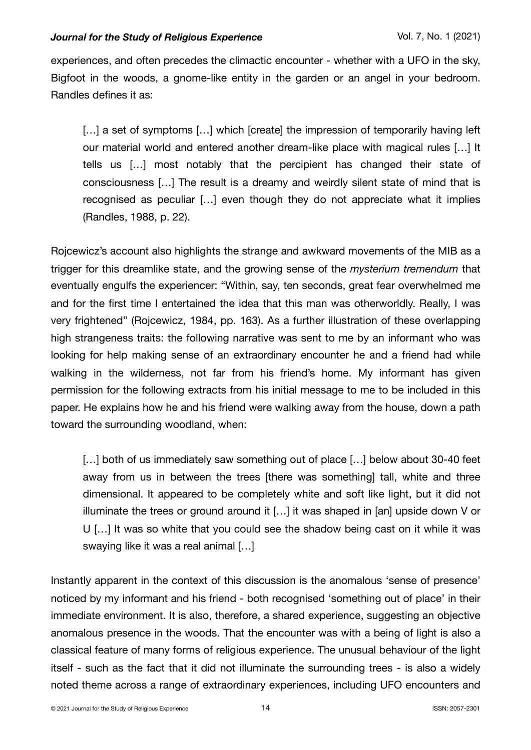experiences, and often precedes the climactic encounter - whether with a UFO in the sky, Bigfoot in the woods, a gnome-like entity in the garden or an angel in your bedroom. Randles defines it as:

[...] a set of symptoms [...] which [create] the impression of temporarily having left our material world and entered another dream-like place with magical rules […] It tells us […] most notably that the percipient has changed their state of consciousness […] The result is a dreamy and weirdly silent state of mind that is recognised as peculiar […] even though they do not appreciate what it implies (Randles, 1988, p. 22).

Rojcewicz's account also highlights the strange and awkward movements of the MIB as a trigger for this dreamlike state, and the growing sense of the *mysterium tremendum* that eventually engulfs the experiencer: "Within, say, ten seconds, great fear overwhelmed me and for the first time I entertained the idea that this man was otherworldly. Really, I was very frightened" (Rojcewicz, 1984, pp. 163). As a further illustration of these overlapping high strangeness traits: the following narrative was sent to me by an informant who was looking for help making sense of an extraordinary encounter he and a friend had while walking in the wilderness, not far from his friend's home. My informant has given permission for the following extracts from his initial message to me to be included in this paper. He explains how he and his friend were walking away from the house, down a path toward the surrounding woodland, when:

[...] both of us immediately saw something out of place [...] below about 30-40 feet away from us in between the trees [there was something] tall, white and three dimensional. It appeared to be completely white and soft like light, but it did not illuminate the trees or ground around it […] it was shaped in [an] upside down V or U […] It was so white that you could see the shadow being cast on it while it was swaying like it was a real animal […]

Instantly apparent in the context of this discussion is the anomalous 'sense of presence' noticed by my informant and his friend - both recognised 'something out of place' in their immediate environment. It is also, therefore, a shared experience, suggesting an objective anomalous presence in the woods. That the encounter was with a being of light is also a classical feature of many forms of religious experience. The unusual behaviour of the light itself - such as the fact that it did not illuminate the surrounding trees - is also a widely noted theme across a range of extraordinary experiences, including UFO encounters and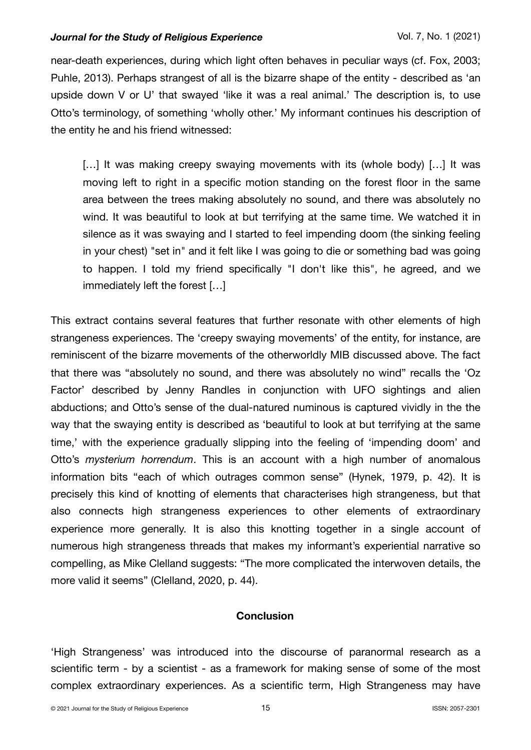near-death experiences, during which light often behaves in peculiar ways (cf. Fox, 2003; Puhle, 2013). Perhaps strangest of all is the bizarre shape of the entity - described as 'an upside down V or U' that swayed 'like it was a real animal.' The description is, to use Otto's terminology, of something 'wholly other.' My informant continues his description of the entity he and his friend witnessed:

[...] It was making creepy swaying movements with its (whole body) [...] It was moving left to right in a specific motion standing on the forest floor in the same area between the trees making absolutely no sound, and there was absolutely no wind. It was beautiful to look at but terrifying at the same time. We watched it in silence as it was swaying and I started to feel impending doom (the sinking feeling in your chest) "set in" and it felt like I was going to die or something bad was going to happen. I told my friend specifically "I don't like this", he agreed, and we immediately left the forest […]

This extract contains several features that further resonate with other elements of high strangeness experiences. The 'creepy swaying movements' of the entity, for instance, are reminiscent of the bizarre movements of the otherworldly MIB discussed above. The fact that there was "absolutely no sound, and there was absolutely no wind" recalls the 'Oz Factor' described by Jenny Randles in conjunction with UFO sightings and alien abductions; and Otto's sense of the dual-natured numinous is captured vividly in the the way that the swaying entity is described as 'beautiful to look at but terrifying at the same time,' with the experience gradually slipping into the feeling of 'impending doom' and Otto's *mysterium horrendum*. This is an account with a high number of anomalous information bits "each of which outrages common sense" (Hynek, 1979, p. 42). It is precisely this kind of knotting of elements that characterises high strangeness, but that also connects high strangeness experiences to other elements of extraordinary experience more generally. It is also this knotting together in a single account of numerous high strangeness threads that makes my informant's experiential narrative so compelling, as Mike Clelland suggests: "The more complicated the interwoven details, the more valid it seems" (Clelland, 2020, p. 44).

# **Conclusion**

'High Strangeness' was introduced into the discourse of paranormal research as a scientific term - by a scientist - as a framework for making sense of some of the most complex extraordinary experiences. As a scientific term, High Strangeness may have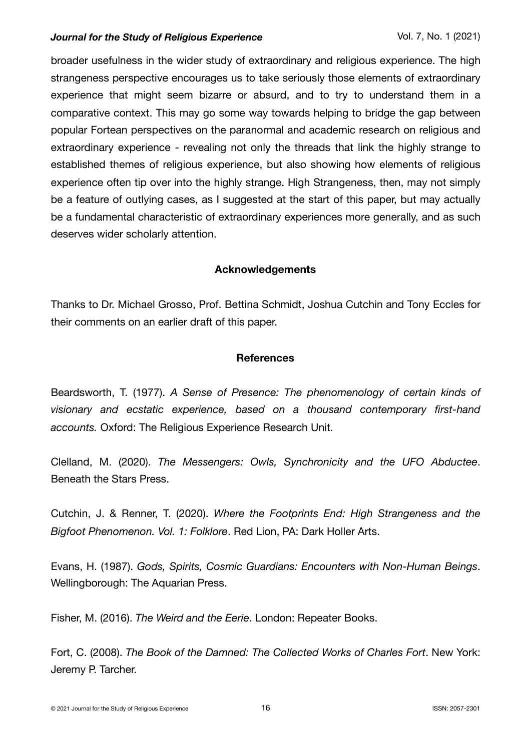broader usefulness in the wider study of extraordinary and religious experience. The high strangeness perspective encourages us to take seriously those elements of extraordinary experience that might seem bizarre or absurd, and to try to understand them in a comparative context. This may go some way towards helping to bridge the gap between popular Fortean perspectives on the paranormal and academic research on religious and extraordinary experience - revealing not only the threads that link the highly strange to established themes of religious experience, but also showing how elements of religious experience often tip over into the highly strange. High Strangeness, then, may not simply be a feature of outlying cases, as I suggested at the start of this paper, but may actually be a fundamental characteristic of extraordinary experiences more generally, and as such deserves wider scholarly attention.

## **Acknowledgements**

Thanks to Dr. Michael Grosso, Prof. Bettina Schmidt, Joshua Cutchin and Tony Eccles for their comments on an earlier draft of this paper.

# **References**

Beardsworth, T. (1977). *A Sense of Presence: The phenomenology of certain kinds of visionary and ecstatic experience, based on a thousand contemporary first-hand accounts.* Oxford: The Religious Experience Research Unit.

Clelland, M. (2020). *The Messengers: Owls, Synchronicity and the UFO Abductee*. Beneath the Stars Press.

Cutchin, J. & Renner, T. (2020). *Where the Footprints End: High Strangeness and the Bigfoot Phenomenon. Vol. 1: Folklore*. Red Lion, PA: Dark Holler Arts.

Evans, H. (1987). *Gods, Spirits, Cosmic Guardians: Encounters with Non-Human Beings*. Wellingborough: The Aquarian Press.

Fisher, M. (2016). *The Weird and the Eerie*. London: Repeater Books.

Fort, C. (2008). *The Book of the Damned: The Collected Works of Charles Fort*. New York: Jeremy P. Tarcher.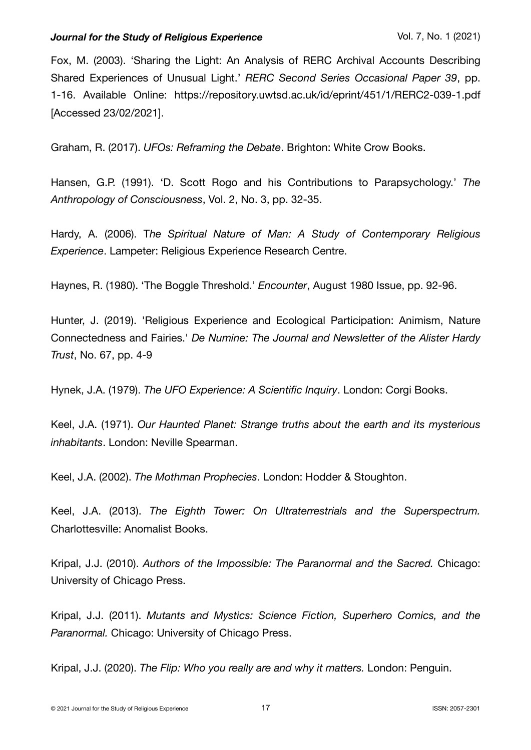Fox, M. (2003). 'Sharing the Light: An Analysis of RERC Archival Accounts Describing Shared Experiences of Unusual Light.' *RERC Second Series Occasional Paper 39*, pp. 1-16. Available Online: https://repository.uwtsd.ac.uk/id/eprint/451/1/RERC2-039-1.pdf [Accessed 23/02/2021].

Graham, R. (2017). *UFOs: Reframing the Debate*. Brighton: White Crow Books.

Hansen, G.P. (1991). 'D. Scott Rogo and his Contributions to Parapsychology.' *The Anthropology of Consciousness*, Vol. 2, No. 3, pp. 32-35.

Hardy, A. (2006). T*he Spiritual Nature of Man: A Study of Contemporary Religious Experience*. Lampeter: Religious Experience Research Centre.

Haynes, R. (1980). 'The Boggle Threshold.' *Encounter*, August 1980 Issue, pp. 92-96.

Hunter, J. (2019). 'Religious Experience and Ecological Participation: Animism, Nature Connectedness and Fairies.' *De Numine: The Journal and Newsletter of the Alister Hardy Trust*, No. 67, pp. 4-9

Hynek, J.A. (1979). *The UFO Experience: A Scientific Inquiry*. London: Corgi Books.

Keel, J.A. (1971). *Our Haunted Planet: Strange truths about the earth and its mysterious inhabitants*. London: Neville Spearman.

Keel, J.A. (2002). *The Mothman Prophecies*. London: Hodder & Stoughton.

Keel, J.A. (2013). *The Eighth Tower: On Ultraterrestrials and the Superspectrum.* Charlottesville: Anomalist Books.

Kripal, J.J. (2010). *Authors of the Impossible: The Paranormal and the Sacred.* Chicago: University of Chicago Press.

Kripal, J.J. (2011). *Mutants and Mystics: Science Fiction, Superhero Comics, and the Paranormal.* Chicago: University of Chicago Press.

Kripal, J.J. (2020). *The Flip: Who you really are and why it matters.* London: Penguin.